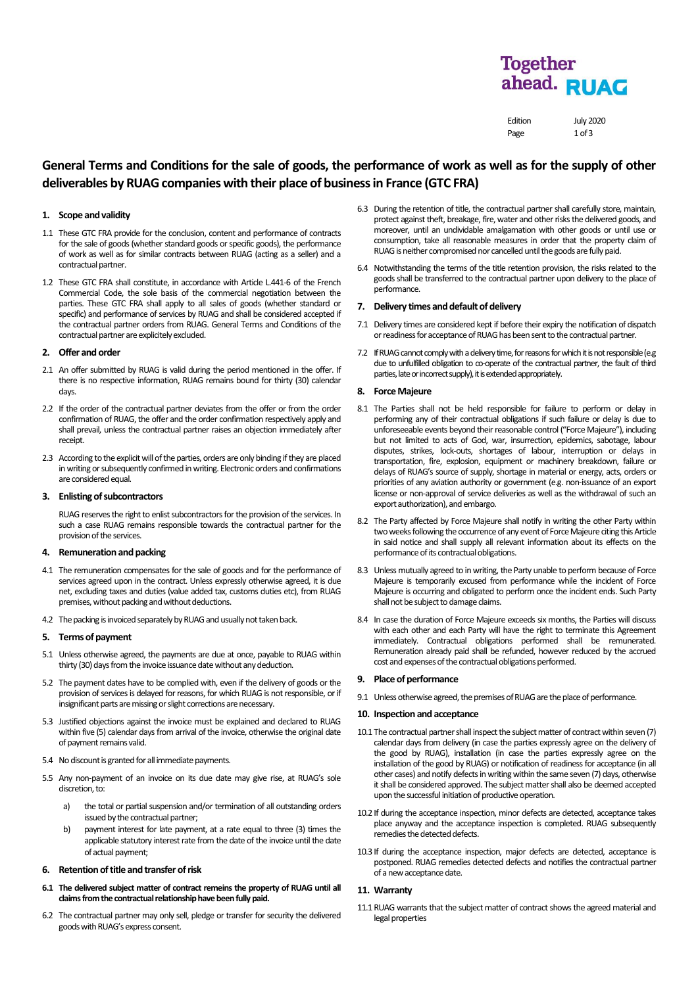# **Together** ahead. RUAG

Edition July 2020 Page 1 of 3

## **General Terms and Conditions for the sale of goods, the performance of work as well as for the supply of other**  deliverables by RUAG companies with their place of business in France (GTC FRA)

#### **1. Scope and validity**

- 1.1 These GTC FRA provide for the conclusion, content and performance of contracts for the sale of goods(whether standard goods or specific goods), the performance of work as well as for similar contracts between RUAG (acting as a seller) and a contractual partner.
- 1.2 These GTC FRA shall constitute, in accordance with Articl[e L.441-6 of the French](javascript:%20documentLink()  [Commercial Code,](javascript:%20documentLink() the sole basis of the commercial negotiation between the parties. These GTC FRA shall apply to all sales of goods (whether standard or specific) and performance of services by RUAG and shall be considered accepted if the contractual partner orders from RUAG. General Terms and Conditions of the contractual partner are explicitely excluded.

#### **2. Offer and order**

- 2.1 An offer submitted by RUAG is valid during the period mentioned in the offer. If there is no respective information, RUAG remains bound for thirty (30) calendar days.
- 2.2 If the order of the contractual partner deviates from the offer or from the order confirmation of RUAG, the offer and the order confirmation respectively apply and shall prevail, unless the contractual partner raises an objection immediately after receipt.
- 2.3 According to the explicit will of the parties, orders are only binding if they are placed in writing or subsequently confirmed in writing. Electronic orders and confirmations are considered equal.

#### **3. Enlisting of subcontractors**

RUAG reserves the right to enlist subcontractors for the provision of the services. In such a case RUAG remains responsible towards the contractual partner for the provision of the services.

#### **4. Remunerationand packing**

- 4.1 The remuneration compensates for the sale of goods and for the performance of services agreed upon in the contract. Unless expressly otherwise agreed, it is due net, excluding taxes and duties (value added tax, customs duties etc), from RUAG premises, without packing and without deductions.
- 4.2 The packing is invoiced separately by RUAG and usually not taken back.

#### **5. Terms of payment**

- 5.1 Unless otherwise agreed, the payments are due at once, payable to RUAG within thirty (30) days from the invoice issuance date without any deduction.
- 5.2 The payment dates have to be complied with, even if the delivery of goods or the provision of services is delayed for reasons, for which RUAG is not responsible, or if insignificant parts are missing or slight corrections are necessary.
- 5.3 Justified objections against the invoice must be explained and declared to RUAG within five (5) calendar days from arrival of the invoice, otherwise the original date of payment remains valid.
- 5.4 No discount is granted for all immediate payments.
- 5.5 Any non-payment of an invoice on its due date may give rise, at RUAG's sole discretion, to:
	- a) the total or partial suspension and/or termination of all outstanding orders issued by the contractual partner;
	- b) payment interest for late payment, at a rate equal to three (3) times the applicable statutory interest rate from the date of the invoice until the date of actual payment;

#### **6.** Retention of title and transfer of risk

- **6.1 The delivered subject matter of contract remeins the property of RUAG until all claims from the contractual relationship have been fully paid.**
- 6.2 The contractual partner may only sell, pledge or transfer for security the delivered goods with RUAG's express consent.
- 6.3 During the retention of title, the contractual partner shall carefully store, maintain, protect against theft, breakage, fire, water and other risks the delivered goods, and moreover, until an undividable amalgamation with other goods or until use or consumption, take all reasonable measures in order that the property claim of RUAG is neither compromised nor cancelled until the goods are fully paid.
- 6.4 Notwithstanding the terms of the title retention provision, the risks related to the goods shall be transferred to the contractual partner upon delivery to the place of performance.

#### **7. Delivery times and default of delivery**

- 7.1 Delivery times are considered kept if before their expiry the notification of dispatch or readiness for acceptance of RUAG has been sent to the contractual partner.
- 7.2 If RUAG cannot comply with a delivery time, for reasons for which it is not responsible (e.g. due to unfulfilled obligation to co-operate of the contractual partner, the fault of third parties, late or incorrect supply), it is extended appropriately.

#### **8. Force Majeure**

- 8.1 The Parties shall not be held responsible for failure to perform or delay in performing any of their contractual obligations if such failure or delay is due to unforeseeable events beyond their reasonable control ("Force Majeure"), including but not limited to acts of God, war, insurrection, epidemics, sabotage, labour disputes, strikes, lock-outs, shortages of labour, interruption or delays in transportation, fire, explosion, equipment or machinery breakdown, failure or delays of RUAG's source of supply, shortage in material or energy, acts, orders or priorities of any aviation authority or government (e.g. non-issuance of an export license or non-approval of service deliveries as well as the withdrawal of such an export authorization), and embargo.
- 8.2 The Party affected by Force Majeure shall notify in writing the other Party within two weeks following the occurrence of any event of Force Majeure citing this Article in said notice and shall supply all relevant information about its effects on the performance of its contractual obligations.
- 8.3 Unless mutually agreed to in writing, the Party unable to perform because of Force Majeure is temporarily excused from performance while the incident of Force Majeure is occurring and obligated to perform once the incident ends. Such Party shall not be subject to damage claims.
- 8.4 In case the duration of Force Majeure exceeds six months, the Parties will discuss with each other and each Party will have the right to terminate this Agreement immediately. Contractual obligations performed shall be remunerated. Remuneration already paid shall be refunded, however reduced by the accrued cost and expenses of the contractual obligations performed.

#### **9. Place of performance**

9.1 Unless otherwise agreed, the premises of RUAG are the place of performance.

### **10. Inspection and acceptance**

- 10.1 The contractual partner shall inspect the subject matter of contract within seven (7) calendar days from delivery (in case the parties expressly agree on the delivery of the good by RUAG), installation (in case the parties expressly agree on the installation of the good by RUAG) or notification of readiness for acceptance (in all other cases) and notify defects in writing within the same seven (7) days, otherwise it shall be considered approved. The subject matter shall also be deemed accepted upon the successful initiation of productive operation.
- 10.2 If during the acceptance inspection, minor defects are detected, acceptance takes place anyway and the acceptance inspection is completed. RUAG subsequently remedies the detected defects.
- 10.3 If during the acceptance inspection, major defects are detected, acceptance is postponed. RUAG remedies detected defects and notifies the contractual partner of a new acceptance date.

#### **11. Warranty**

11.1 RUAG warrants that the subject matter of contract shows the agreed material and legal properties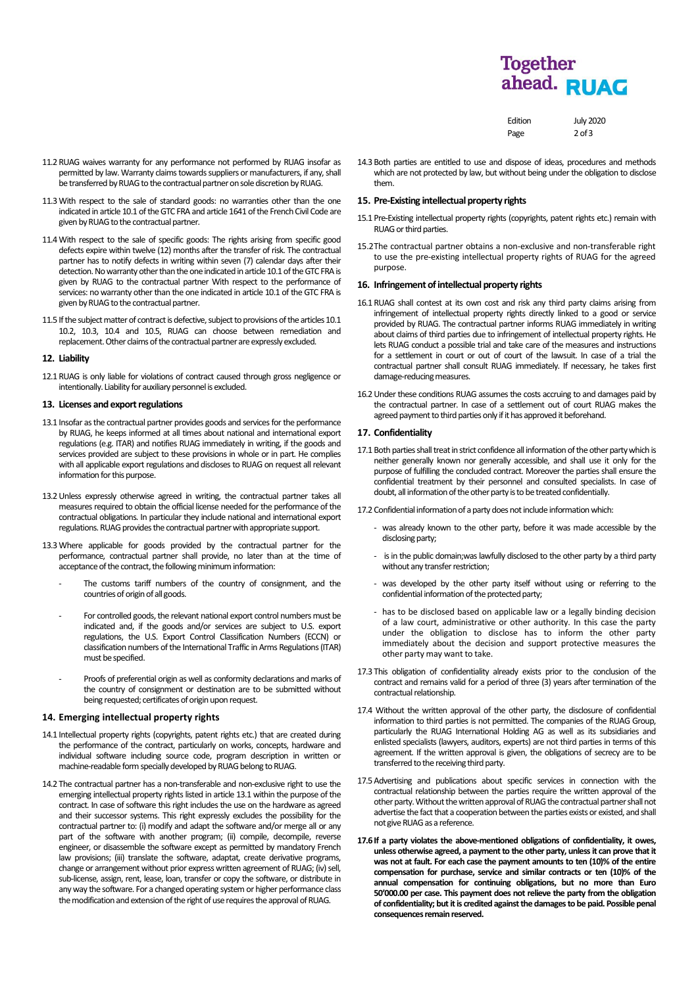# **Together** ahead. RUAG

Edition July 2020 Page 2 of 3

- 11.2RUAG waives warranty for any performance not performed by RUAG insofar as permitted by law. Warranty claims towards suppliers or manufacturers, if any, shall be transferred by RUAG to the contractual partner on sole discretion by RUAG.
- 11.3With respect to the sale of standard goods: no warranties other than the one indicated in article 10.1 of the GTC FRA and article 1641 of the French Civil Code are given by RUAG to the contractual partner.
- 11.4With respect to the sale of specific goods: The rights arising from specific good defects expire within twelve (12) months after the transfer of risk. The contractual partner has to notify defects in writing within seven (7) calendar days after their detection.No warranty other than the one indicated in article 10.1 of the GTC FRAis given by RUAG to the contractual partner With respect to the performance of services: no warranty other than the one indicated in article 10.1 of the GTC FRA is given by RUAG to the contractual partner.
- 11.5 If the subject matter of contract is defective, subject to provisions of the articles 10.1 10.2, 10.3, 10.4 and 10.5, RUAG can choose between remediation and replacement. Other claims of the contractual partner are expressly excluded.

#### **12. Liability**

12.1RUAG is only liable for violations of contract caused through gross negligence or intentionally. Liability for auxiliary personnel is excluded.

#### **13. Licenses and export regulations**

- 13.1 Insofar as the contractual partner provides goods and servicesfor the performance by RUAG, he keeps informed at all times about national and international export regulations (e.g. ITAR) and notifies RUAG immediately in writing, if the goods and services provided are subject to these provisions in whole or in part. He complies with all applicable export regulations and discloses to RUAG on request all relevant information for this purpose.
- 13.2Unless expressly otherwise agreed in writing, the contractual partner takes all measures required to obtain the official license needed for the performance of the contractual obligations. In particular they include national and international export regulations. RUAG provides the contractual partner with appropriate support.
- 13.3Where applicable for goods provided by the contractual partner for the performance, contractual partner shall provide, no later than at the time of acceptance of the contract, the following minimum information:
	- The customs tariff numbers of the country of consignment, and the countries of origin of all goods.
	- For controlled goods, the relevant national export control numbers must be indicated and, if the goods and/or services are subject to U.S. export regulations, the U.S. Export Control Classification Numbers (ECCN) or classification numbers of the International Traffic in Arms Regulations (ITAR) must be specified.
	- Proofs of preferential origin as well as conformity declarations and marks of the country of consignment or destination are to be submitted without being requested; certificates of origin upon request.

### **14. Emerging intellectual property rights**

- 14.1 Intellectual property rights (copyrights, patent rights etc.) that are created during the performance of the contract, particularly on works, concepts, hardware and individual software including source code, program description in written or machine-readable form specially developed by RUAG belong to RUAG.
- 14.2 The contractual partner has a non-transferable and non-exclusive right to use the emerging intellectual property rights listed in article 13.1 within the purpose of the contract. In case of software this right includes the use on the hardware as agreed and their successor systems. This right expressly excludes the possibility for the contractual partner to: (i) modify and adapt the software and/or merge all or any part of the software with another program; (ii) compile, decompile, reverse engineer, or disassemble the software except as permitted by mandatory French law provisions; (iii) translate the software, adaptat, create derivative programs, change or arrangement without prior express written agreement of RUAG; (iv) sell, sub-license, assign, rent, lease, loan, transfer or copy the software, or distribute in any way the software. For a changed operating system or higher performance class the modification and extension of the right of use requires the approval of RUAG.

| 14.3 Both parties are entitled to use and dispose of ideas, procedures and methods |
|------------------------------------------------------------------------------------|
| which are not protected by law, but without being under the obligation to disclose |

## 15. Pre-Existing intellectual property rights

- 15.1 Pre-Existing intellectual property rights (copyrights, patent rights etc.) remain with RUAG or third parties.
- 15.2The contractual partner obtains a non-exclusive and non-transferable right to use the pre-existing intellectual property rights of RUAG for the agreed purpose

#### **16. Infringement of intellectual property rights**

- 16.1RUAG shall contest at its own cost and risk any third party claims arising from infringement of intellectual property rights directly linked to a good or service provided by RUAG. The contractual partner informs RUAG immediately in writing about claims of third parties due to infringement of intellectual property rights. He lets RUAG conduct a possible trial and take care of the measures and instructions for a settlement in court or out of court of the lawsuit. In case of a trial the contractual partner shall consult RUAG immediately. If necessary, he takes first damage-reducing measures.
- 16.2Under these conditions RUAG assumes the costs accruing to and damages paid by the contractual partner. In case of a settlement out of court RUAG makes the agreed payment to third parties only if it has approved it beforehand.

#### **17. Confidentiality**

them.

17.1 Both parties shall treat in strict confidence all information of the other party which is neither generally known nor generally accessible, and shall use it only for the purpose of fulfilling the concluded contract. Moreover the parties shall ensure the confidential treatment by their personnel and consulted specialists. In case of doubt, all information of the other party is to be treated confidentially.

17.2 Confidential information of a party does not include information which:

- was already known to the other party, before it was made accessible by the disclosing party;
- is in the public domain;was lawfully disclosed to the other party by a third party without any transfer restriction;
- was developed by the other party itself without using or referring to the confidential information of the protected party;
- has to be disclosed based on applicable law or a legally binding decision of a law court, administrative or other authority. In this case the party under the obligation to disclose has to inform the other party immediately about the decision and support protective measures the other party may want to take.
- 17.3 This obligation of confidentiality already exists prior to the conclusion of the contract and remains valid for a period of three (3) years after termination of the contractual relationship.
- 17.4 Without the written approval of the other party, the disclosure of confidential information to third parties is not permitted. The companies of the RUAG Group, particularly the RUAG International Holding AG as well as its subsidiaries and enlisted specialists (lawyers, auditors, experts) are not third parties in terms of this agreement. If the written approval is given, the obligations of secrecy are to be transferred to the receiving third party.
- 17.5Advertising and publications about specific services in connection with the contractual relationship between the parties require the written approval of the other party. Without the written approval of RUAG the contractual partner shall not advertise the fact that a cooperation between the parties exists or existed, and shall not give RUAG as a reference.
- **17.6If a party violates the above-mentioned obligations of confidentiality, it owes, unless otherwise agreed, a payment to the other party, unless it can prove that it was not at fault. For each case the payment amounts to ten (10)% of the entire compensation for purchase, service and similar contracts or ten (10)% of the annual compensation for continuing obligations, but no more than Euro 50'000.00 per case. This payment does not relieve the party from the obligation of confidentiality; but it is credited against the damages to be paid. Possible penal consequences remain reserved.**